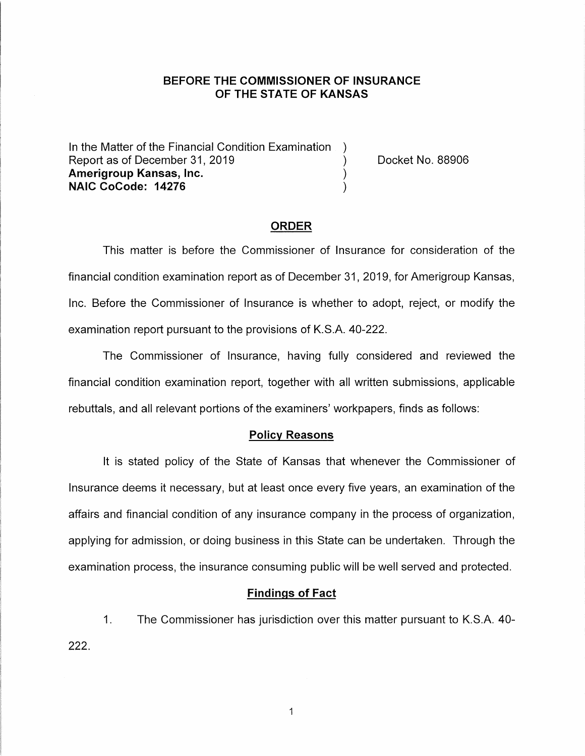### **BEFORE THE COMMISSIONER OF INSURANCE OF THE STATE OF KANSAS**

In the Matter of the Financial Condition Examination Report as of December 31, 2019 (and the control of the Docket No. 88906) **Amerigroup Kansas, Inc.** ) **NAIC CoCode: 14276** )

#### **ORDER**

This matter is before the Commissioner of Insurance for consideration of the financial condition examination report as of December 31, 2019, for Amerigroup Kansas, Inc. Before the Commissioner of Insurance is whether to adopt, reject, or modify the examination report pursuant to the provisions of K.S.A. 40-222.

The Commissioner of Insurance, having fully considered and reviewed the financial condition examination report, together with all written submissions, applicable rebuttals, and all relevant portions of the examiners' workpapers, finds as follows:

#### **Policy Reasons**

It is stated policy of the State of Kansas that whenever the Commissioner of Insurance deems it necessary, but at least once every five years, an examination of the affairs and financial condition of any insurance company in the process of organization, applying for admission, or doing business in this State can be undertaken. Through the examination process, the insurance consuming public will be well served and protected.

### **Findings of Fact**

1. The Commissioner has jurisdiction over this matter pursuant to K.S.A. 40- 222.

 $\mathbf{1}$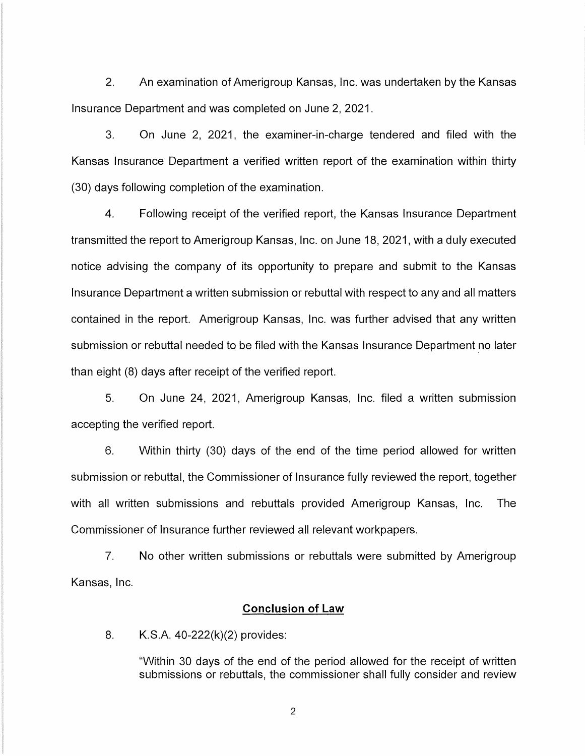2. An examination of Amerigroup Kansas, Inc. was undertaken by the Kansas Insurance Department and was completed on June 2, 2021.

3. On June 2, 2021, the examiner-in-charge tendered and filed with the Kansas Insurance Department a verified written report of the examination within thirty (30) days following completion of the examination.

4. Following receipt of the verified report, the Kansas Insurance Department transmitted the report to Amerigroup Kansas, Inc. on June 18, 2021, with a duly executed notice advising the company of its opportunity to prepare and submit to the Kansas Insurance Department a written submission or rebuttal with respect to any and all matters contained in the report. Amerigroup Kansas, Inc. was further advised that any written submission or rebuttal needed to be filed with the Kansas Insurance Department no later than eight (8) days after receipt of the verified report.

5. On June 24, 2021, Amerigroup Kansas, Inc. filed a written submission accepting the verified report.

6. Within thirty (30) days of the end of the time period allowed for written submission or rebuttal, the Commissioner of Insurance fully reviewed the report, together with all written submissions and rebuttals provided Amerigroup Kansas, Inc. The Commissioner of Insurance further reviewed all relevant workpapers.

7. No other written submissions or rebuttals were submitted by Amerigroup Kansas, Inc.

## **Conclusion of Law**

8. K.S.A. 40-222(k)(2) provides:

"Within 30 days of the end of the period allowed for the receipt of written submissions or rebuttals, the commissioner shall fully consider and review

2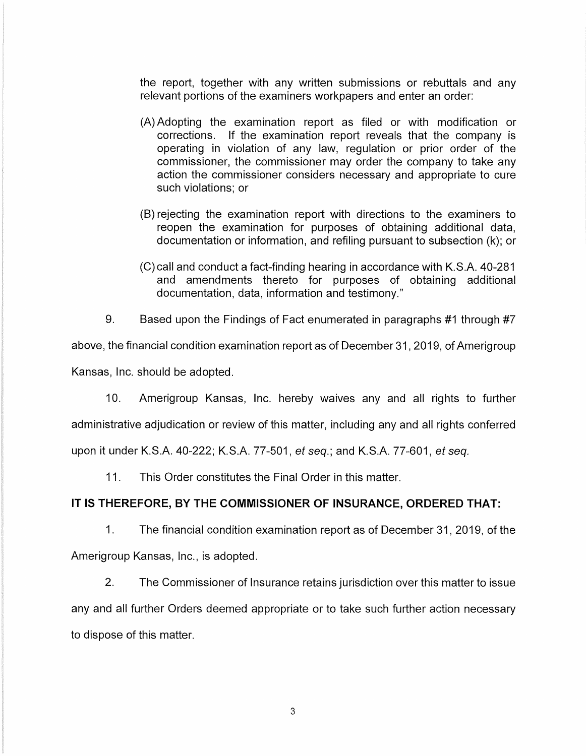the report, together with any written submissions or rebuttals and any relevant portions of the examiners workpapers and enter an order:

- (A) Adopting the examination report as filed or with modification or corrections. If the examination report reveals that the company is operating in violation of any law, regulation or prior order of the commissioner, the commissioner may order the company to take any action the commissioner considers necessary and appropriate to cure such violations; or
- (B) rejecting the examination report with directions to the examiners to reopen the examination for purposes of obtaining additional data, documentation or information, and refiling pursuant to subsection (k); or
- (C) call and conduct a fact-finding hearing in accordance with K.S.A. 40-281 and amendments thereto for purposes of obtaining additional documentation, data, information and testimony."

9. Based upon the Findings of Fact enumerated in paragraphs #1 through #7

above, the financial condition examination report as of December 31, 2019, of Amerigroup Kansas, Inc. should be adopted.

10. Amerigroup Kansas, Inc. hereby waives any and all rights to further administrative adjudication or review of this matter, including any and all rights conferred upon it under K.S.A. 40-222; K.S.A. 77-501, et seq.; and K.S.A. 77-601, et seq.

11. This Order constitutes the Final Order in this matter.

# **IT IS THEREFORE, BY THE COMMISSIONER OF INSURANCE, ORDERED THAT:**

1. The financial condition examination report as of December 31, 2019, of the Amerigroup Kansas, Inc., is adopted.

2. The Commissioner of Insurance retains jurisdiction over this matter to issue any and all further Orders deemed appropriate or to take such further action necessary to dispose of this matter.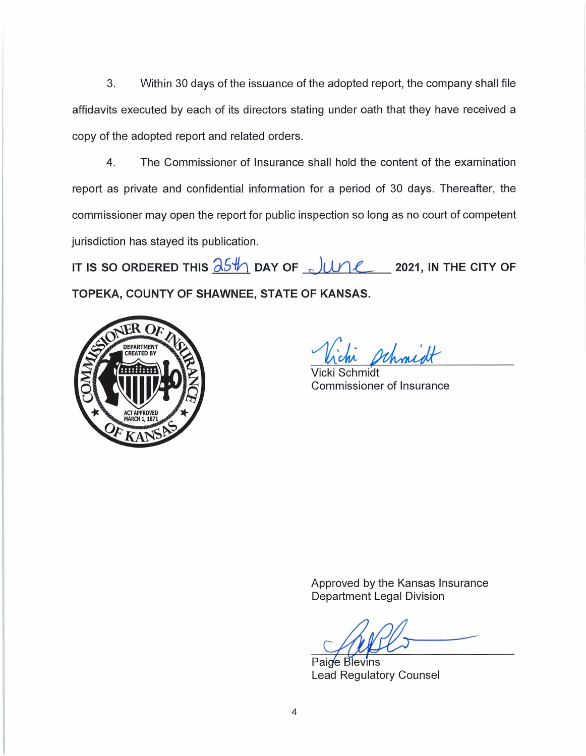3. Within 30 days of the issuance of the adopted report, the company shall file affidavits executed by each of its directors stating under oath that they have received a copy of the adopted report and related orders.

4. The Commissioner of Insurance shall hold the content of the examination report as private and confidential information for a period of 30 days. Thereafter, the commissioner may open the report for public inspection so long as no court of competent jurisdiction has stayed its publication.

IT IS SO ORDERED THIS  $\frac{\partial 5H}{\partial 1}$  DAY OF  $\frac{1}{2}$   $\mu$  2021, in the CITY OF **TOPEKA, COUNTY OF SHAWNEE, STATE OF KANSAS.** 



Whomidt

Vicki Schmidt Commissioner of Insurance

Approved by the Kansas Insurance Department Legal Division

 $\mathbb{A}$   $\mathbb{A}$ 

Paide Blevins Lead Regulatory Counsel